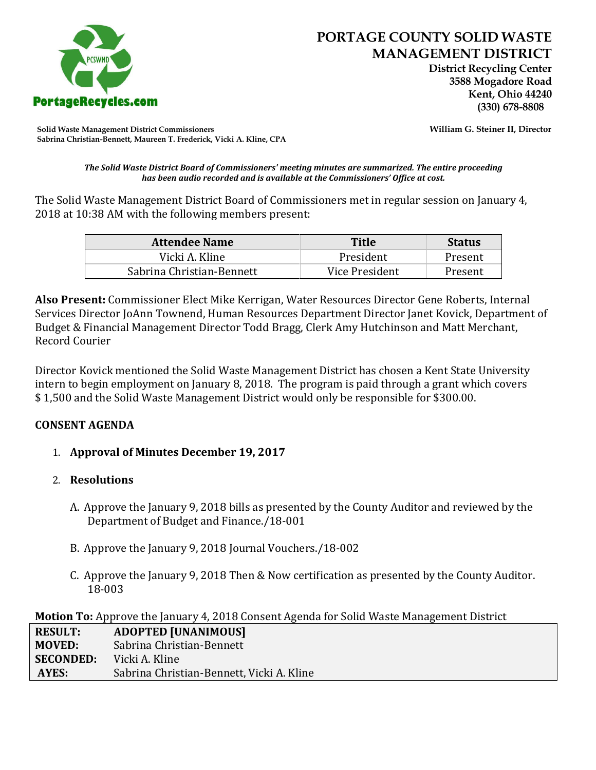

 **District Recycling Center 3588 Mogadore Road Kent, Ohio 44240**

**Solid Waste Management District Commissioners William G. Steiner II, Director Sabrina Christian-Bennett, Maureen T. Frederick, Vicki A. Kline, CPA**

*The Solid Waste District Board of Commissioners' meeting minutes are summarized. The entire proceeding has been audio recorded and is available at the Commissioners' Office at cost.*

The Solid Waste Management District Board of Commissioners met in regular session on January 4, 2018 at 10:38 AM with the following members present:

| <b>Attendee Name</b>      | <b>Title</b>   | <b>Status</b> |
|---------------------------|----------------|---------------|
| Vicki A. Kline            | President      | Present       |
| Sabrina Christian-Bennett | Vice President | Present       |

**Also Present:** Commissioner Elect Mike Kerrigan, Water Resources Director Gene Roberts, Internal Services Director JoAnn Townend, Human Resources Department Director Janet Kovick, Department of Budget & Financial Management Director Todd Bragg, Clerk Amy Hutchinson and Matt Merchant, Record Courier

Director Kovick mentioned the Solid Waste Management District has chosen a Kent State University intern to begin employment on January 8, 2018. The program is paid through a grant which covers \$ 1,500 and the Solid Waste Management District would only be responsible for \$300.00.

## **CONSENT AGENDA**

## 1. **Approval of Minutes December 19, 2017**

## 2. **Resolutions**

- A. Approve the January 9, 2018 bills as presented by the County Auditor and reviewed by the Department of Budget and Finance./18-001
- B. Approve the January 9, 2018 Journal Vouchers./18-002
- C. Approve the January 9, 2018 Then & Now certification as presented by the County Auditor. 18-003

| Motion To: Approve the January 4, 2018 Consent Agenda for Solid Waste Management District |  |  |
|-------------------------------------------------------------------------------------------|--|--|
|-------------------------------------------------------------------------------------------|--|--|

| <b>RESULT:</b>   | <b>ADOPTED [UNANIMOUS]</b>                |
|------------------|-------------------------------------------|
| <b>MOVED:</b>    | Sabrina Christian-Bennett                 |
| <b>SECONDED:</b> | Vicki A. Kline                            |
| <b>AYES:</b>     | Sabrina Christian-Bennett, Vicki A. Kline |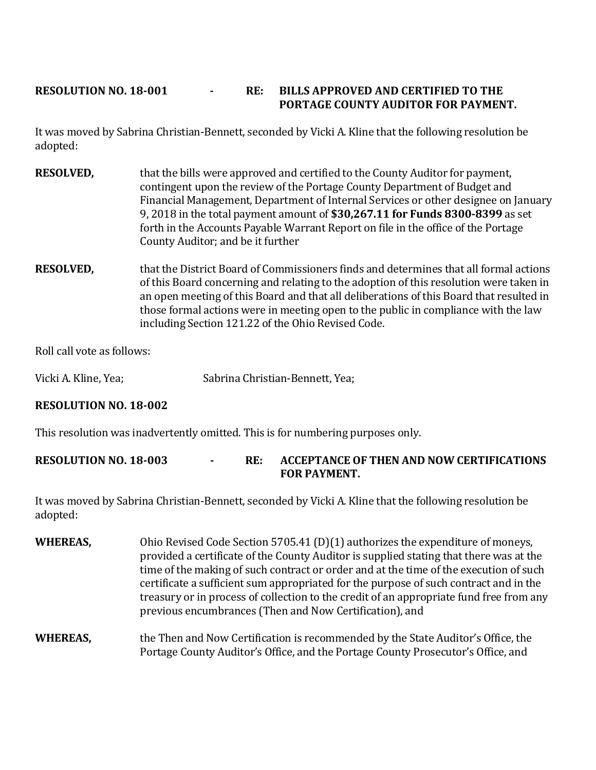## **RESOLUTION NO. 18-001 - RE: BILLS APPROVED AND CERTIFIED TO THE PORTAGE COUNTY AUDITOR FOR PAYMENT.**

It was moved by Sabrina Christian-Bennett, seconded by Vicki A. Kline that the following resolution be adopted:

- **RESOLVED,** that the bills were approved and certified to the County Auditor for payment, contingent upon the review of the Portage County Department of Budget and Financial Management, Department of Internal Services or other designee on January 9, 2018 in the total payment amount of **\$30,267.11 for Funds 8300-8399** as set forth in the Accounts Payable Warrant Report on file in the office of the Portage County Auditor; and be it further
- **RESOLVED,** that the District Board of Commissioners finds and determines that all formal actions of this Board concerning and relating to the adoption of this resolution were taken in an open meeting of this Board and that all deliberations of this Board that resulted in those formal actions were in meeting open to the public in compliance with the law including Section 121.22 of the Ohio Revised Code.

Roll call vote as follows:

Vicki A. Kline, Yea; Sabrina Christian-Bennett, Yea;

# **RESOLUTION NO. 18-002**

This resolution was inadvertently omitted. This is for numbering purposes only.

## **RESOLUTION NO. 18-003 - RE: ACCEPTANCE OF THEN AND NOW CERTIFICATIONS FOR PAYMENT.**

It was moved by Sabrina Christian-Bennett, seconded by Vicki A. Kline that the following resolution be adopted:

**WHEREAS,** Ohio Revised Code Section 5705.41 (D)(1) authorizes the expenditure of moneys, provided a certificate of the County Auditor is supplied stating that there was at the time of the making of such contract or order and at the time of the execution of such certificate a sufficient sum appropriated for the purpose of such contract and in the treasury or in process of collection to the credit of an appropriate fund free from any previous encumbrances (Then and Now Certification), and

## **WHEREAS,** the Then and Now Certification is recommended by the State Auditor's Office, the Portage County Auditor's Office, and the Portage County Prosecutor's Office, and